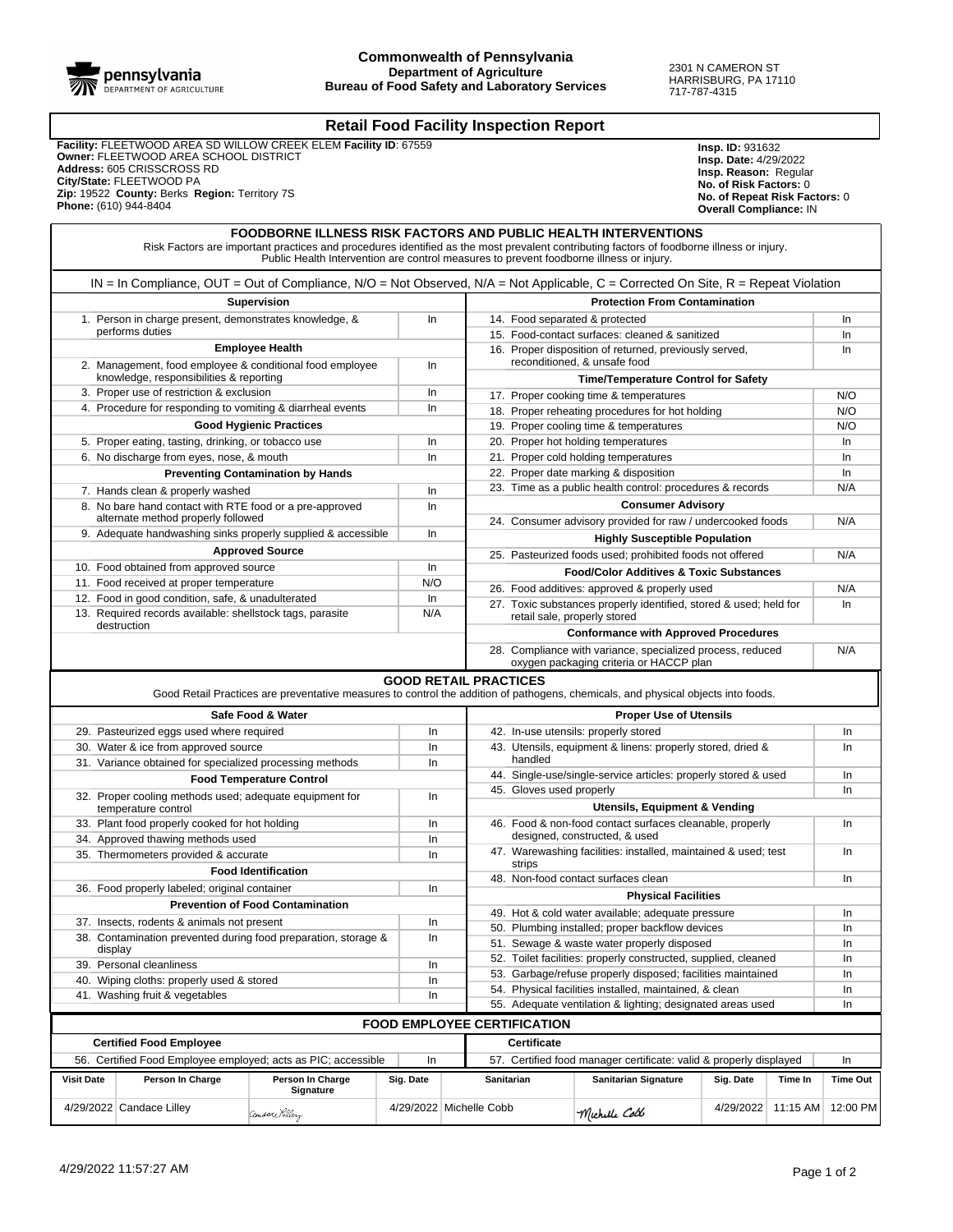

## **Retail Food Facility Inspection Report**

 **Facility:** FLEETWOOD AREA SD WILLOW CREEK ELEM **Facility ID**: 67559  **Owner:** FLEETWOOD AREA SCHOOL DISTRICT  **Address:** 605 CRISSCROSS RD  **City/State:** FLEETWOOD PA  **Zip:** 19522 **County:** Berks **Region:** Territory 7S  **Phone:** (610) 944-8404

**Insp. ID:** 931632 **Insp. Date:** 4/29/2022 **Insp. Reason:** Regular **No. of Risk Factors:** 0 **No. of Repeat Risk Factors:** 0 **Overall Compliance:** IN

|                                                                           |                                                                                                                                      | <b>FOODBORNE ILLNESS RISK FACTORS AND PUBLIC HEALTH INTERVENTIONS</b><br>Risk Factors are important practices and procedures identified as the most prevalent contributing factors of foodborne illness or injury.<br>Public Health Intervention are control measures to prevent foodborne illness or injury. |                    |                                                                    |                                                                                                                      |                                                                                                       |                                                 |         |                             |  |
|---------------------------------------------------------------------------|--------------------------------------------------------------------------------------------------------------------------------------|---------------------------------------------------------------------------------------------------------------------------------------------------------------------------------------------------------------------------------------------------------------------------------------------------------------|--------------------|--------------------------------------------------------------------|----------------------------------------------------------------------------------------------------------------------|-------------------------------------------------------------------------------------------------------|-------------------------------------------------|---------|-----------------------------|--|
|                                                                           | $IN = In$ Compliance, OUT = Out of Compliance, N/O = Not Observed, N/A = Not Applicable, C = Corrected On Site, R = Repeat Violation |                                                                                                                                                                                                                                                                                                               |                    |                                                                    |                                                                                                                      |                                                                                                       |                                                 |         |                             |  |
|                                                                           |                                                                                                                                      | <b>Supervision</b>                                                                                                                                                                                                                                                                                            |                    |                                                                    |                                                                                                                      | <b>Protection From Contamination</b>                                                                  |                                                 |         |                             |  |
| 1. Person in charge present, demonstrates knowledge, &                    |                                                                                                                                      |                                                                                                                                                                                                                                                                                                               | In                 |                                                                    | 14. Food separated & protected                                                                                       |                                                                                                       |                                                 |         |                             |  |
|                                                                           | performs duties                                                                                                                      |                                                                                                                                                                                                                                                                                                               |                    |                                                                    |                                                                                                                      | 15. Food-contact surfaces: cleaned & sanitized                                                        |                                                 |         | In<br>In                    |  |
|                                                                           |                                                                                                                                      | <b>Employee Health</b>                                                                                                                                                                                                                                                                                        |                    |                                                                    |                                                                                                                      | 16. Proper disposition of returned, previously served,                                                |                                                 |         | In                          |  |
| 2. Management, food employee & conditional food employee                  |                                                                                                                                      |                                                                                                                                                                                                                                                                                                               | In                 |                                                                    | reconditioned, & unsafe food                                                                                         |                                                                                                       |                                                 |         |                             |  |
|                                                                           | knowledge, responsibilities & reporting                                                                                              |                                                                                                                                                                                                                                                                                                               |                    |                                                                    |                                                                                                                      | <b>Time/Temperature Control for Safety</b>                                                            |                                                 |         | N/O                         |  |
|                                                                           | 3. Proper use of restriction & exclusion                                                                                             |                                                                                                                                                                                                                                                                                                               | In                 |                                                                    | 17. Proper cooking time & temperatures                                                                               |                                                                                                       |                                                 |         |                             |  |
|                                                                           | 4. Procedure for responding to vomiting & diarrheal events                                                                           |                                                                                                                                                                                                                                                                                                               | In                 |                                                                    |                                                                                                                      | 18. Proper reheating procedures for hot holding                                                       |                                                 |         | N/O                         |  |
|                                                                           |                                                                                                                                      | <b>Good Hygienic Practices</b>                                                                                                                                                                                                                                                                                |                    |                                                                    |                                                                                                                      | 19. Proper cooling time & temperatures                                                                |                                                 |         | N/O                         |  |
|                                                                           | 5. Proper eating, tasting, drinking, or tobacco use                                                                                  |                                                                                                                                                                                                                                                                                                               | In                 |                                                                    |                                                                                                                      | 20. Proper hot holding temperatures                                                                   |                                                 |         | In                          |  |
|                                                                           | 6. No discharge from eyes, nose, & mouth                                                                                             |                                                                                                                                                                                                                                                                                                               | In                 |                                                                    |                                                                                                                      | 21. Proper cold holding temperatures                                                                  |                                                 |         | In<br>In                    |  |
|                                                                           |                                                                                                                                      | <b>Preventing Contamination by Hands</b>                                                                                                                                                                                                                                                                      | In                 |                                                                    | 22. Proper date marking & disposition<br>23. Time as a public health control: procedures & records                   |                                                                                                       |                                                 |         |                             |  |
|                                                                           | 7. Hands clean & properly washed                                                                                                     |                                                                                                                                                                                                                                                                                                               |                    |                                                                    |                                                                                                                      |                                                                                                       |                                                 |         | N/A                         |  |
|                                                                           | 8. No bare hand contact with RTE food or a pre-approved<br>alternate method properly followed                                        |                                                                                                                                                                                                                                                                                                               | In                 |                                                                    |                                                                                                                      | <b>Consumer Advisory</b><br>24. Consumer advisory provided for raw / undercooked foods                |                                                 |         | N/A                         |  |
|                                                                           | 9. Adequate handwashing sinks properly supplied & accessible                                                                         |                                                                                                                                                                                                                                                                                                               | In                 |                                                                    |                                                                                                                      | <b>Highly Susceptible Population</b>                                                                  |                                                 |         |                             |  |
|                                                                           |                                                                                                                                      | <b>Approved Source</b>                                                                                                                                                                                                                                                                                        |                    |                                                                    |                                                                                                                      | 25. Pasteurized foods used; prohibited foods not offered                                              |                                                 |         | N/A                         |  |
|                                                                           | 10. Food obtained from approved source                                                                                               |                                                                                                                                                                                                                                                                                                               | In                 |                                                                    |                                                                                                                      | <b>Food/Color Additives &amp; Toxic Substances</b>                                                    |                                                 |         |                             |  |
|                                                                           | 11. Food received at proper temperature                                                                                              |                                                                                                                                                                                                                                                                                                               | N/O                |                                                                    |                                                                                                                      | 26. Food additives: approved & properly used                                                          |                                                 |         | N/A                         |  |
|                                                                           | 12. Food in good condition, safe, & unadulterated<br>13. Required records available: shellstock tags, parasite                       |                                                                                                                                                                                                                                                                                                               | In<br>N/A          |                                                                    |                                                                                                                      | 27. Toxic substances properly identified, stored & used; held for                                     |                                                 |         | In                          |  |
|                                                                           | destruction                                                                                                                          |                                                                                                                                                                                                                                                                                                               |                    |                                                                    | retail sale, properly stored<br><b>Conformance with Approved Procedures</b>                                          |                                                                                                       |                                                 |         |                             |  |
|                                                                           |                                                                                                                                      |                                                                                                                                                                                                                                                                                                               |                    |                                                                    |                                                                                                                      | 28. Compliance with variance, specialized process, reduced<br>oxygen packaging criteria or HACCP plan |                                                 |         | N/A                         |  |
|                                                                           |                                                                                                                                      | Good Retail Practices are preventative measures to control the addition of pathogens, chemicals, and physical objects into foods.                                                                                                                                                                             |                    | <b>GOOD RETAIL PRACTICES</b>                                       |                                                                                                                      |                                                                                                       |                                                 |         |                             |  |
|                                                                           |                                                                                                                                      | Safe Food & Water                                                                                                                                                                                                                                                                                             |                    |                                                                    |                                                                                                                      | <b>Proper Use of Utensils</b>                                                                         |                                                 |         |                             |  |
|                                                                           | 29. Pasteurized eggs used where required                                                                                             |                                                                                                                                                                                                                                                                                                               | In                 |                                                                    |                                                                                                                      | 42. In-use utensils: properly stored                                                                  |                                                 |         | In.                         |  |
|                                                                           | 30. Water & ice from approved source                                                                                                 |                                                                                                                                                                                                                                                                                                               | In                 |                                                                    |                                                                                                                      | 43. Utensils, equipment & linens: properly stored, dried &                                            |                                                 |         | In                          |  |
| 31. Variance obtained for specialized processing methods                  |                                                                                                                                      |                                                                                                                                                                                                                                                                                                               | In                 |                                                                    | handled                                                                                                              |                                                                                                       |                                                 |         |                             |  |
| <b>Food Temperature Control</b>                                           |                                                                                                                                      |                                                                                                                                                                                                                                                                                                               |                    |                                                                    | 44. Single-use/single-service articles: properly stored & used                                                       |                                                                                                       |                                                 |         |                             |  |
| 32. Proper cooling methods used; adequate equipment for                   |                                                                                                                                      |                                                                                                                                                                                                                                                                                                               |                    | In                                                                 | 45. Gloves used properly                                                                                             |                                                                                                       |                                                 |         |                             |  |
|                                                                           | temperature control                                                                                                                  |                                                                                                                                                                                                                                                                                                               |                    |                                                                    | Utensils, Equipment & Vending                                                                                        |                                                                                                       |                                                 |         |                             |  |
|                                                                           | 33. Plant food properly cooked for hot holding                                                                                       |                                                                                                                                                                                                                                                                                                               |                    | In                                                                 | 46. Food & non-food contact surfaces cleanable, properly                                                             |                                                                                                       |                                                 |         |                             |  |
|                                                                           | 34. Approved thawing methods used                                                                                                    |                                                                                                                                                                                                                                                                                                               |                    | In                                                                 | designed, constructed, & used                                                                                        |                                                                                                       |                                                 |         |                             |  |
| 35. Thermometers provided & accurate<br><b>Food Identification</b>        |                                                                                                                                      |                                                                                                                                                                                                                                                                                                               | In                 |                                                                    | 47. Warewashing facilities: installed, maintained & used; test<br>strips                                             |                                                                                                       |                                                 |         | In                          |  |
|                                                                           |                                                                                                                                      |                                                                                                                                                                                                                                                                                                               |                    |                                                                    |                                                                                                                      | 48. Non-food contact surfaces clean                                                                   |                                                 |         | In                          |  |
|                                                                           | 36. Food properly labeled; original container                                                                                        |                                                                                                                                                                                                                                                                                                               | In                 |                                                                    | <b>Physical Facilities</b>                                                                                           |                                                                                                       |                                                 |         |                             |  |
| <b>Prevention of Food Contamination</b>                                   |                                                                                                                                      |                                                                                                                                                                                                                                                                                                               |                    |                                                                    | 49. Hot & cold water available; adequate pressure<br>In                                                              |                                                                                                       |                                                 |         |                             |  |
| 37. Insects, rodents & animals not present                                |                                                                                                                                      |                                                                                                                                                                                                                                                                                                               | In<br>In           |                                                                    |                                                                                                                      |                                                                                                       | 50. Plumbing installed; proper backflow devices |         |                             |  |
| 38. Contamination prevented during food preparation, storage &<br>display |                                                                                                                                      |                                                                                                                                                                                                                                                                                                               |                    |                                                                    | 51. Sewage & waste water properly disposed                                                                           |                                                                                                       |                                                 |         | In                          |  |
| 39. Personal cleanliness<br>In                                            |                                                                                                                                      |                                                                                                                                                                                                                                                                                                               |                    |                                                                    | 52. Toilet facilities: properly constructed, supplied, cleaned                                                       |                                                                                                       |                                                 |         |                             |  |
| 40. Wiping cloths: properly used & stored<br>In                           |                                                                                                                                      |                                                                                                                                                                                                                                                                                                               |                    |                                                                    | 53. Garbage/refuse properly disposed; facilities maintained                                                          |                                                                                                       |                                                 |         |                             |  |
| 41. Washing fruit & vegetables<br>In                                      |                                                                                                                                      |                                                                                                                                                                                                                                                                                                               |                    |                                                                    | 54. Physical facilities installed, maintained, & clean<br>55. Adequate ventilation & lighting; designated areas used |                                                                                                       |                                                 |         |                             |  |
|                                                                           |                                                                                                                                      |                                                                                                                                                                                                                                                                                                               |                    |                                                                    |                                                                                                                      |                                                                                                       |                                                 |         | In                          |  |
|                                                                           |                                                                                                                                      |                                                                                                                                                                                                                                                                                                               |                    |                                                                    | <b>FOOD EMPLOYEE CERTIFICATION</b>                                                                                   |                                                                                                       |                                                 |         |                             |  |
|                                                                           | <b>Certified Food Employee</b>                                                                                                       |                                                                                                                                                                                                                                                                                                               | <b>Certificate</b> |                                                                    |                                                                                                                      |                                                                                                       |                                                 |         |                             |  |
|                                                                           | 56. Certified Food Employee employed; acts as PIC; accessible                                                                        |                                                                                                                                                                                                                                                                                                               |                    | 57. Certified food manager certificate: valid & properly displayed |                                                                                                                      |                                                                                                       | In                                              |         |                             |  |
| <b>Visit Date</b>                                                         | Person In Charge                                                                                                                     | Person In Charge<br>Signature                                                                                                                                                                                                                                                                                 | Sig. Date          |                                                                    | <b>Sanitarian</b>                                                                                                    | <b>Sanitarian Signature</b>                                                                           | Sig. Date                                       | Time In | <b>Time Out</b>             |  |
|                                                                           | 4/29/2022 Candace Lilley                                                                                                             | $\mathscr{L}$ nn                                                                                                                                                                                                                                                                                              |                    | 4/29/2022 Michelle Cobb                                            |                                                                                                                      | $M_{\odot}$ $M_{\odot}$                                                                               |                                                 |         | 4/29/2022 11:15 AM 12:00 PM |  |